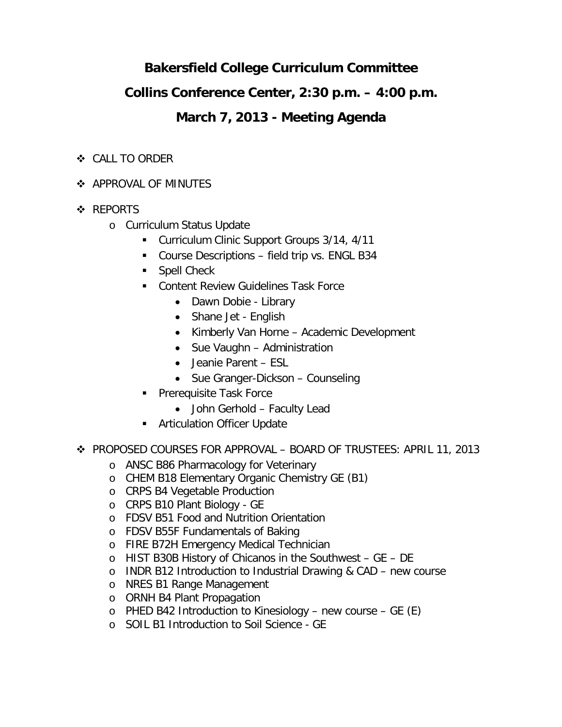# **Bakersfield College Curriculum Committee**

## **Collins Conference Center, 2:30 p.m. – 4:00 p.m.**

## **March 7, 2013 - Meeting Agenda**

- CALL TO ORDER
- **APPROVAL OF MINUTES**
- ❖ REPORTS
	- o Curriculum Status Update
		- Curriculum Clinic Support Groups 3/14, 4/11
		- Course Descriptions field trip vs. ENGL B34
		- **Spell Check**
		- **EXECONTER FEDELIST CONTER** Content Review Guidelines Task Force
			- Dawn Dobie Library
			- Shane Jet English
			- Kimberly Van Horne Academic Development
			- Sue Vaughn Administration
			- Jeanie Parent ESL
			- Sue Granger-Dickson Counseling
		- **Prerequisite Task Force** 
			- John Gerhold Faculty Lead
		- **EXECUTE:** Articulation Officer Update
- PROPOSED COURSES FOR APPROVAL BOARD OF TRUSTEES: APRIL 11, 2013
	- o ANSC B86 Pharmacology for Veterinary
	- o CHEM B18 Elementary Organic Chemistry GE (B1)
	- o CRPS B4 Vegetable Production
	- o CRPS B10 Plant Biology GE
	- o FDSV B51 Food and Nutrition Orientation
	- o FDSV B55F Fundamentals of Baking
	- o FIRE B72H Emergency Medical Technician
	- o HIST B30B History of Chicanos in the Southwest GE DE
	- o INDR B12 Introduction to Industrial Drawing & CAD new course
	- o NRES B1 Range Management
	- o ORNH B4 Plant Propagation
	- $\circ$  PHED B42 Introduction to Kinesiology new course GE (E)
	- o SOIL B1 Introduction to Soil Science GE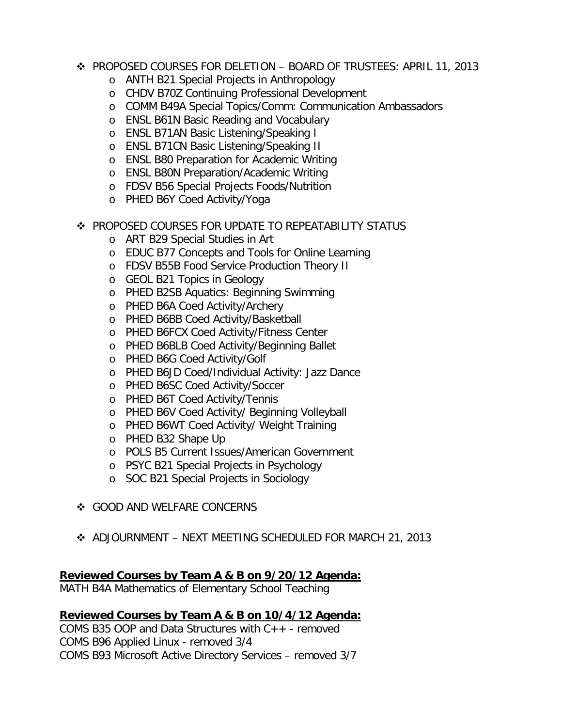- PROPOSED COURSES FOR DELETION BOARD OF TRUSTEES: APRIL 11, 2013
	- o ANTH B21 Special Projects in Anthropology
	- o CHDV B70Z Continuing Professional Development
	- o COMM B49A Special Topics/Comm: Communication Ambassadors
	- o ENSL B61N Basic Reading and Vocabulary
	- o ENSL B71AN Basic Listening/Speaking I
	- o ENSL B71CN Basic Listening/Speaking II
	- o ENSL B80 Preparation for Academic Writing
	- o ENSL B80N Preparation/Academic Writing
	- o FDSV B56 Special Projects Foods/Nutrition
	- o PHED B6Y Coed Activity/Yoga
- ◆ PROPOSED COURSES FOR UPDATE TO REPEATABILITY STATUS
	- o ART B29 Special Studies in Art
	- o EDUC B77 Concepts and Tools for Online Learning
	- o FDSV B55B Food Service Production Theory II
	- o GEOL B21 Topics in Geology
	- o PHED B2SB Aquatics: Beginning Swimming
	- o PHED B6A Coed Activity/Archery
	- o PHED B6BB Coed Activity/Basketball
	- o PHED B6FCX Coed Activity/Fitness Center
	- o PHED B6BLB Coed Activity/Beginning Ballet
	- o PHED B6G Coed Activity/Golf
	- o PHED B6JD Coed/Individual Activity: Jazz Dance
	- o PHED B6SC Coed Activity/Soccer
	- o PHED B6T Coed Activity/Tennis
	- o PHED B6V Coed Activity/ Beginning Volleyball
	- o PHED B6WT Coed Activity/ Weight Training
	- o PHED B32 Shape Up
	- o POLS B5 Current Issues/American Government
	- o PSYC B21 Special Projects in Psychology
	- o SOC B21 Special Projects in Sociology
- GOOD AND WELFARE CONCERNS
- ADJOURNMENT NEXT MEETING SCHEDULED FOR MARCH 21, 2013

#### **Reviewed Courses by Team A & B on 9/20/12 Agenda:**

MATH B4A Mathematics of Elementary School Teaching

#### **Reviewed Courses by Team A & B on 10/4/12 Agenda:**

COMS B35 OOP and Data Structures with C++ - removed COMS B96 Applied Linux - removed 3/4 COMS B93 Microsoft Active Directory Services – removed 3/7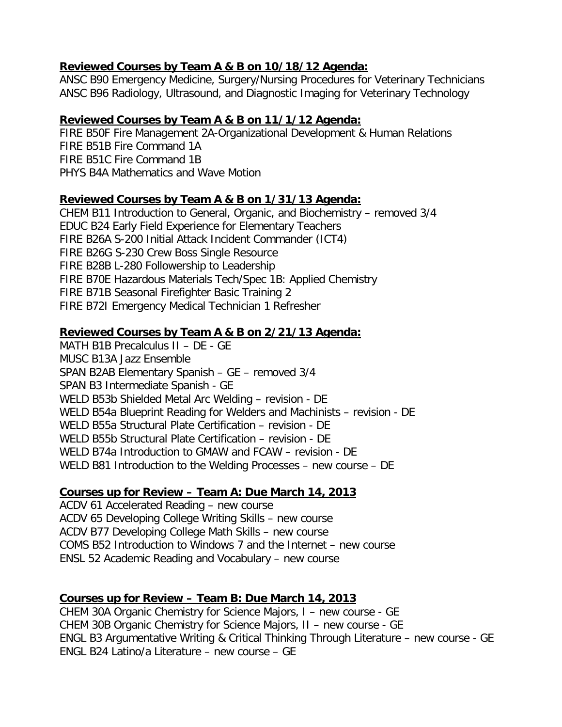#### **Reviewed Courses by Team A & B on 10/18/12 Agenda:**

ANSC B90 Emergency Medicine, Surgery/Nursing Procedures for Veterinary Technicians ANSC B96 Radiology, Ultrasound, and Diagnostic Imaging for Veterinary Technology

## **Reviewed Courses by Team A & B on 11/1/12 Agenda:**

FIRE B50F Fire Management 2A-Organizational Development & Human Relations FIRE B51B Fire Command 1A FIRE B51C Fire Command 1B PHYS B4A Mathematics and Wave Motion

## **Reviewed Courses by Team A & B on 1/31/13 Agenda:**

CHEM B11 Introduction to General, Organic, and Biochemistry – removed 3/4 EDUC B24 Early Field Experience for Elementary Teachers FIRE B26A S-200 Initial Attack Incident Commander (ICT4) FIRE B26G S-230 Crew Boss Single Resource FIRE B28B L-280 Followership to Leadership FIRE B70E Hazardous Materials Tech/Spec 1B: Applied Chemistry FIRE B71B Seasonal Firefighter Basic Training 2 FIRE B72I Emergency Medical Technician 1 Refresher

## **Reviewed Courses by Team A & B on 2/21/13 Agenda:**

MATH B1B Precalculus II – DE - GE MUSC B13A Jazz Ensemble SPAN B2AB Elementary Spanish – GE – removed 3/4 SPAN B3 Intermediate Spanish - GE WELD B53b Shielded Metal Arc Welding – revision - DE WELD B54a Blueprint Reading for Welders and Machinists – revision - DE WELD B55a Structural Plate Certification – revision - DE WELD B55b Structural Plate Certification – revision - DE WELD B74a Introduction to GMAW and FCAW – revision - DE WELD B81 Introduction to the Welding Processes – new course – DE

## **Courses up for Review – Team A: Due March 14, 2013**

ACDV 61 Accelerated Reading – new course ACDV 65 Developing College Writing Skills – new course ACDV B77 Developing College Math Skills – new course COMS B52 Introduction to Windows 7 and the Internet – new course ENSL 52 Academic Reading and Vocabulary – new course

## **Courses up for Review – Team B: Due March 14, 2013**

CHEM 30A Organic Chemistry for Science Majors, I – new course - GE CHEM 30B Organic Chemistry for Science Majors, II – new course - GE ENGL B3 Argumentative Writing & Critical Thinking Through Literature – new course - GE ENGL B24 Latino/a Literature – new course – GE